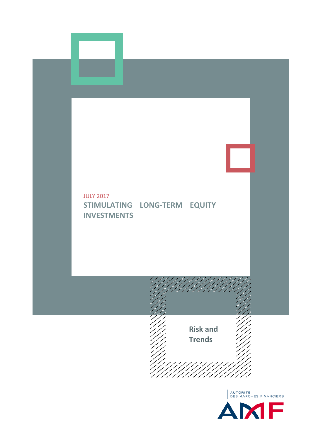

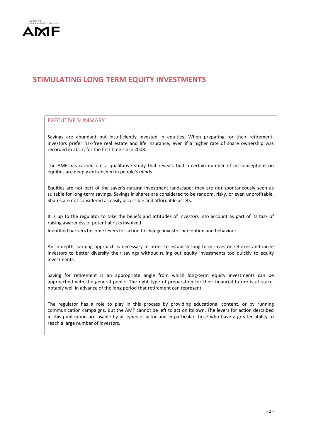

# **STIMULATING LONG**-**TERM EQUITY INVESTMENTS**

# EXECUTIVE SUMMARY

Savings are abundant but insufficiently invested in equities. When preparing for their retirement, investors prefer risk-free real estate and life insurance, even if a higher rate of share ownership was recorded in 2017, for the first time since 2008.

The AMF has carried out a qualitative study that reveals that a certain number of misconceptions on equities are deeply entrenched in people's minds.

Equities are not part of the saver's natural investment landscape: they are not spontaneously seen as suitable for long-term savings. Savings in shares are considered to be random, risky, or even unprofitable. Shares are not considered as easily accessible and affordable assets.

It is up to the regulator to take the beliefs and attitudes of investors into account as part of its task of raising awareness of potential risks involved.

Identified barriers become levers for action to change investor perception and behaviour.

An in-depth learning approach is necessary in order to establish long-term investor reflexes and incite investors to better diversify their savings without ruling out equity investments too quickly to equity investments.

Saving for retirement is an appropriate angle from which long-term equity investments can be approached with the general public. The right type of preparation for their financial future is at stake, notably well in advance of the long period that retirement can represent.

The regulator has a role to play in this process by providing educational content, or by running communication campaigns. But the AMF cannot be left to act on its own. The levers for action described in this publication are usable by all types of actor and in particular those who have a greater ability to reach a large number of investors.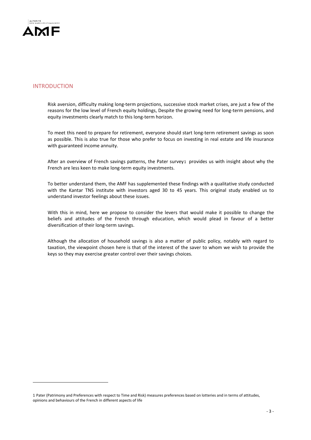

# INTRODUCTION

Risk aversion, difficulty making long-term projections, successive stock market crises, are just a few of the reasons for the low level of French equity holdings, Despite the growing need for long-term pensions, and equity investments clearly match to this long-term horizon.

To meet this need to prepare for retirement, everyone should start long-term retirement savings as soon as possible. This is also true for those who prefer to focus on investing in real estate and life insurance with guaranteed income annuity.

After an overview of French savings patterns, the Pater survey[1](#page-2-0) provides us with insight about why the French are less keen to make long-term equity investments.

To better understand them, the AMF has supplemented these findings with a qualitative study conducted with the Kantar TNS institute with investors aged 30 to 45 years. This original study enabled us to understand investor feelings about these issues.

With this in mind, here we propose to consider the levers that would make it possible to change the beliefs and attitudes of the French through education, which would plead in favour of a better diversification of their long-term savings.

Although the allocation of household savings is also a matter of public policy, notably with regard to taxation, the viewpoint chosen here is that of the interest of the saver to whom we wish to provide the keys so they may exercise greater control over their savings choices.

<span id="page-2-0"></span><sup>1</sup> Pater (Patrimony and Preferences with respect to Time and Risk) measures preferences based on lotteries and in terms of attitudes, opinions and behaviours of the French in different aspects of life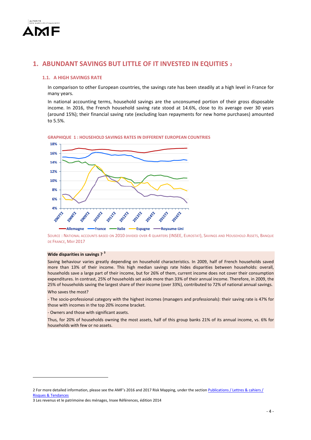

# **1. ABUNDANT SAVINGS BUT LITTLE OF IT INVESTED IN EQUITIES [2](#page-3-0)**

# **1.1. A HIGH SAVINGS RATE**

In comparison to other European countries, the savings rate has been steadily at a high level in France for many years.

In national accounting terms, household savings are the unconsumed portion of their gross disposable income. In 2016, the French household saving rate stood at 14.6%, close to its average over 30 years (around 15%); their financial saving rate (excluding loan repayments for new home purchases) amounted to 5.5%.



**GRAPHIQUE 1 : HOUSEHOLD SAVINGS RATES IN DIFFERENT EUROPEAN COUNTRIES**

SOURCE : NATIONAL ACCOUNTS BASED ON 2010 DIVIDED OVER 4 QUARTERS (INSEE, EUROSTAT), SAVINGS AND HOUSEHOLD ASSETS, BANQUE DE FRANCE, MAY 2017

### **Wide disparities in savings ? [3](#page-3-1)**

Saving behaviour varies greatly depending on household characteristics. In 2009, half of French households saved more than 13% of their income. This high median savings rate hides disparities between households: overall, households save a large part of their income, but for 26% of them, current income does not cover their consumption expenditures. In contrast, 25% of households set aside more than 33% of their annual income. Therefore, in 2009, the 25% of households saving the largest share of their income (over 33%), contributed to 72% of national annual savings.

Who saves the most?

-

- The socio-professional category with the highest incomes (managers and professionals): their saving rate is 47% for those with incomes in the top 20% income bracket.

- Owners and those with significant assets.

Thus, for 20% of households owning the most assets, half of this group banks 21% of its annual income, vs. 6% for households with few or no assets.

<span id="page-3-0"></span><sup>2</sup> For more detailed information, please see the AMF's 2016 and 2017 Risk Mapping, under the sectio[n Publications / Lettres &](http://www.amf-france.org/en_US/Publications/Lettres-et-cahiers/Risques-et-tendances/Archives?docId=workspace%3A%2F%2FSpacesStore%2F50b71ad3-51f9-403e-b884-c92ac8b4b040) cahiers / [Risques & Tendances](http://www.amf-france.org/en_US/Publications/Lettres-et-cahiers/Risques-et-tendances/Archives?docId=workspace%3A%2F%2FSpacesStore%2F50b71ad3-51f9-403e-b884-c92ac8b4b040)

<span id="page-3-1"></span><sup>3</sup> Les revenus et le patrimoine des ménages, Insee Références, édition 2014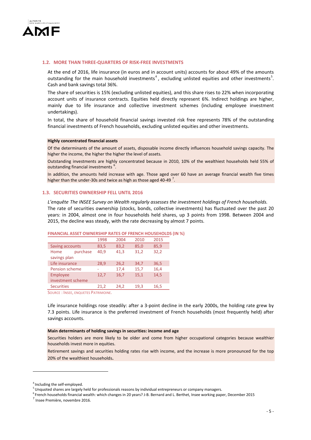

### **1.2. MORE THAN THREE-QUARTERS OF RISK-FREE INVESTMENTS**

At the end of 2016, life insurance (in euros and in account units) accounts for about 49% of the amounts outstanding for the main household investments<sup>[4](#page-4-0)</sup>, excluding unlisted equities and other investments<sup>[5](#page-4-1)</sup>. Cash and bank savings total 36%.

The share of securities is 15% (excluding unlisted equities), and this share rises to 22% when incorporating account units of insurance contracts. Equities held directly represent 6%. Indirect holdings are higher, mainly due to life insurance and collective investment schemes (including employee investment undertakings).

In total, the share of household financial savings invested risk free represents 78% of the outstanding financial investments of French households, excluding unlisted equities and other investments.

#### **Highly concentrated financial assets**

Of the determinants of the amount of assets, disposable income directly influences household savings capacity. The higher the income, the higher the higher the level of assets.

Outstanding investments are highly concentrated because in 2010, 10% of the wealthiest households held 55% of outstanding financial investments <sup>[6](#page-4-2)</sup>.

In addition, the amounts held increase with age. Those aged over 60 have an average financial wealth five times higher than the under-30s and twice as high as those aged 40-49  $^7$  $^7$ .

# **1.3. SECURITIES OWNERSHIP FELL UNTIL 2016**

*L'enquête The INSEE Survey on Wealth regularly assesses the investment holdings of French households.*  The rate of securities ownership (stocks, bonds, collective investments) has fluctuated over the past 20 years: in 2004, almost one in four households held shares, up 3 points from 1998. Between 2004 and 2015, the decline was steady, with the rate decreasing by almost 7 points.

|                   |                   | 1998 | 2004 | 2010 | 2015 |
|-------------------|-------------------|------|------|------|------|
| Saving accounts   |                   | 83,5 | 83,2 | 85,0 | 85,9 |
| Home              | purchase          | 40,9 | 41,3 | 31,2 | 32,2 |
| savings plan      |                   |      |      |      |      |
| Life insurance    |                   | 28,9 | 26,2 | 34,7 | 36,5 |
| Pension scheme    |                   | ۰    | 17,4 | 15,7 | 16,4 |
| Employee          |                   | 12,7 | 16,7 | 15,1 | 14,5 |
|                   | investment scheme |      |      |      |      |
| <b>Securities</b> |                   | 21,2 | 24,2 | 19,3 | 16,5 |
|                   |                   |      |      |      |      |

**FINANCIAL ASSET OWNERSHIP RATES OF FRENCH HOUSEHOLDS (IN %)**

SOURCE : INSEE, ENQUETES PATRIMOINE.

Life insurance holdings rose steadily: after a 3-point decline in the early 2000s, the holding rate grew by 7.3 points. Life insurance is the preferred investment of French households (most frequently held) after savings accounts.

#### **Main determinants of holding savings in securities: income and age**

Securities holders are more likely to be older and come from higher occupational categories because wealthier households invest more in equities.

Retirement savings and securities holding rates rise with income, and the increase is more pronounced for the top 20% of the wealthiest households.

<u>.</u>

<span id="page-4-1"></span><span id="page-4-0"></span><sup>&</sup>lt;sup>4</sup> Including the self-employed.

<sup>&</sup>lt;sup>5</sup> Unquoted shares are largely held for professionals reasons by individual entrepreneurs or company managers.

<span id="page-4-2"></span><sup>&</sup>lt;sup>6</sup> French households financial wealth: which changes in 20 years? J-B. Bernard and L. Berthet, Insee working paper, December 2015<br><sup>7</sup> Insee Première, novembre 2016.

<span id="page-4-3"></span>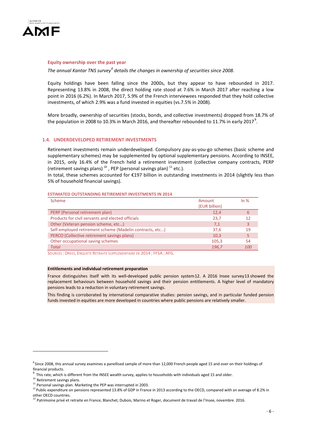

### **Equity ownership over the past year**

*The annual Kantar TNS survey[8](#page-5-0) details the changes in ownership of securities since 2008.*

Equity holdings have been falling since the 2000s, but they appear to have rebounded in 2017. Representing 13.8% in 2008, the direct holding rate stood at 7.6% in March 2017 after reaching a low point in 2016 (6.2%). In March 2017, 5.9% of the French interviewees responded that they hold collective investments, of which 2.9% was a fund invested in equities (vs.7.5% in 2008).

More broadly, ownership of securities (stocks, bonds, and collective investments) dropped from 18.7% of the population in 2008 to 10.3% in March 2016, and thereafter rebounded to 11.7% in early 2017 $^9$  $^9$ .

### **1.4. UNDERDEVELOPED RETIREMENT INVESTMENTS**

Retirement investments remain underdeveloped. Compulsory pay-as-you-go schemes (basic scheme and supplementary schemes) may be supplemented by optional supplementary pensions. According to INSEE, in 2015, only 16.4% of the French held a retirement investment (collective company contracts, PERP (retirement savings plans)<sup>[10](#page-5-2)</sup>, PEP (personal savings plan)<sup>[11](#page-5-3)</sup> etc.).

In total, these schemes accounted for €197 billion in outstanding investments in 2014 (slightly less than 5% of household financial savings).

### **ESTIMATED OUTSTANDING RETIREMENT INVESTMENTS IN 2014**

| <b>Scheme</b>                                            | Amount<br>(EUR billion) | In $%$ |
|----------------------------------------------------------|-------------------------|--------|
| PERP (Personal retirement plan)                          | 12,4                    | b      |
| Products for civil servants and elected officials        | 23,7                    | 12     |
| Other (Veteran pension scheme, etc)                      | 7,1                     | 3      |
| Self-employed retirement scheme (Madelin contracts, etc) | 37,6                    | 19     |
| PERCO (Collective retirement savings plans)              | 10,3                    |        |
| Other occupational saving schemes                        | 105,3                   | 54     |
| <b>Total</b>                                             | 196,7                   | 100    |

SOURCES : DREES, ENQUETE RETRAITE SUPPLEMENTAIRE DE 2014 ; FFSA ; AFG.

#### **Entitlements and individual retirement preparation**

France distinguishes itself with its well-developed public pension system[12.](#page-5-4) A 2016 Insee survey[13](#page-5-5) showed the replacement behaviours between household savings and their pension entitlements. A higher level of mandatory pensions leads to a reduction in voluntary retirement savings.

This finding is corroborated by international comparative studies: pension savings, and in particular funded pension funds invested in equities are more developed in countries where public pensions are relatively smaller.

<u>.</u>

<span id="page-5-0"></span><sup>&</sup>lt;sup>8</sup> Since 2008, this annual survey examines a panellised sample of more than 12,000 French people aged 15 and over on their holdings of financial products.

<span id="page-5-2"></span><span id="page-5-1"></span> $9$  This rate, which is different from the INSEE wealth survey, applies to households with individuals aged 15 and older.<br><sup>10</sup> Retirement savings plans.

 $11$  Personal savings plan. Marketing the PEP was interrupted in 2003.

<span id="page-5-4"></span><span id="page-5-3"></span><sup>&</sup>lt;sup>12</sup> Public expenditure on pensions represented 13.8% of GDP in France in 2013 according to the OECD, compared with an average of 8.2% in other OECD countries.

<span id="page-5-5"></span><sup>&</sup>lt;sup>13</sup> Patrimoine privé et retraite en France, Blanchet, Dubois, Marino et Roger, document de travail de l'Insee, novembre 2016.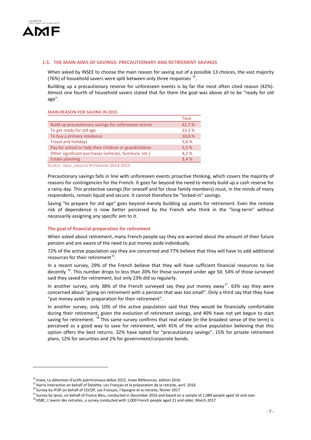

# **1.5. THE MAIN AIMS OF SAVINGS: PRECAUTIONARY AND RETIREMENT SAVINGS**

When asked by INSEE to choose the main reason for saving out of a possible 13 choices, the vast majority (76%) of household savers were split between only three responses  $14$ .

Building up a precautionary reserve for unforeseen events is by far the most often cited reason (42%). Almost one fourth of household savers stated that for them the goal was above all to be "ready for old age".

#### **MAIN REASON FOR SAVING IN 2015**

| Build up precautionary savings for unforeseen events<br>41,7%<br>To get ready for old age<br>23,3 %<br>To buy a primary residence<br>10,0%<br><b>Travel and holidays</b><br>5,6%<br>Pay for school or help their children or grandchildren<br>5,5%<br>Other significant purchases (vehicles, furniture, etc.)<br>4,2% |                        | Taux |
|-----------------------------------------------------------------------------------------------------------------------------------------------------------------------------------------------------------------------------------------------------------------------------------------------------------------------|------------------------|------|
|                                                                                                                                                                                                                                                                                                                       |                        |      |
|                                                                                                                                                                                                                                                                                                                       |                        |      |
|                                                                                                                                                                                                                                                                                                                       |                        |      |
|                                                                                                                                                                                                                                                                                                                       |                        |      |
|                                                                                                                                                                                                                                                                                                                       |                        |      |
|                                                                                                                                                                                                                                                                                                                       |                        |      |
|                                                                                                                                                                                                                                                                                                                       | <b>Estate planning</b> | 3.4% |

SOURCE : INSEE, ENQUETE PATRIMOINE 2014-2015

Precautionary savings falls in line with unforeseen events proactive thinking, which covers the majority of reasons for contingencies for the French. It goes far beyond the need to merely build up a cash reserve for a rainy day. This protective savings (for oneself and for close family members) must, in the minds of many respondents, remain liquid and secure. It cannot therefore be "locked-in" savings.

Saving "to prepare for old age" goes beyond merely building up assets for retirement. Even the remote risk of dependence is now better perceived by the French who think in the "long-term" without necessarily assigning any specific aim to it.

### **The goal of financial preparation for retirement**

When asked about retirement, many French people say they are worried about the amount of their future pension and are aware of the need to put money aside individually.

72% of the active population say they are concerned and 77% believe that they will have to add additional resources for their retirement $^{15}$  $^{15}$  $^{15}$ .

In a recent survey, 29% of the French believe that they will have sufficient financial resources to live decently <sup>[16](#page-6-2)</sup>. This number drops to less than 20% for those surveyed under age 50. 54% of those surveyed said they saved for retirement, but only 23% did so regularly.

In another survey, only 38% of the French surveyed say they put money away<sup>[17](#page-6-3)</sup>. 63% say they were concerned about "going on retirement with a pension that was too small". Only a third say that they have "put money aside in preparation for their retirement".

In another survey, only 10% of the active population said that they would be financially comfortable during their retirement, given the evolution of retirement savings, and 40% have not yet begun to start saving for retirement. <sup>[18](#page-6-4)</sup> This same survey confirms that real estate (in the broadest sense of the term) is perceived as a good way to save for retirement, with 45% of the active population believing that this option offers the best returns. 32% have opted for "precautionary savings", 15% for private retirement plans, 12% for securities and 2% for government/corporate bonds.

<span id="page-6-1"></span>

<span id="page-6-0"></span><sup>&</sup>lt;sup>14</sup> Insee, La détention d'actifs patrimoniaux début 2015, Insee Références, édition 2016.<br><sup>15</sup> Harris Interactive on behalf of Deloitte, Les Français et la préparation de la retraite, avril 2016<br><sup>16</sup> Survey by IFOP on be

<span id="page-6-3"></span><span id="page-6-2"></span><sup>&</sup>lt;sup>17</sup> Survey by Ipsos, on behalf of France Bleu, conducted in December 2016 and based on a sample of 1,089 people aged 16 and over

<span id="page-6-4"></span> $^{18}$ HSBC, L'avenir des retraites, a survey conducted with 1,000 French people aged 21 and older, March 2017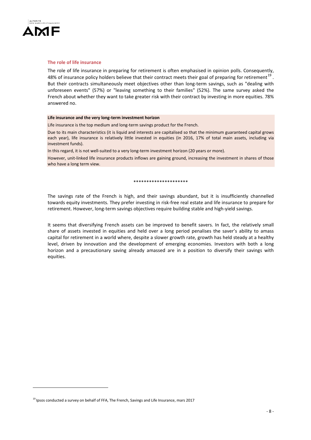

<u>.</u>

### **The role of life insurance**

The role of life insurance in preparing for retirement is often emphasised in opinion polls. Consequently, 48% of insurance policy holders believe that their contract meets their goal of preparing for retirement<sup>[19](#page-7-0)</sup>. But their contracts simultaneously meet objectives other than long-term savings, such as "dealing with unforeseen events" (57%) or "leaving something to their families" (52%). The same survey asked the French about whether they want to take greater risk with their contract by investing in more equities. 78% answered no.

#### **Life insurance and the very long-term investment horizon**

Life insurance is the top medium and long-term savings product for the French.

Due to its main characteristics (it is liquid and interests are capitalised so that the minimum guaranteed capital grows each year), life insurance is relatively little invested in equities (in 2016, 17% of total main assets, including via investment funds).

In this regard, it is not well-suited to a very long-term investment horizon (20 years or more).

However, unit-linked life insurance products inflows are gaining ground, increasing the investment in shares of those who have a long term view.

#### \*\*\*\*\*\*\*\*\*\*\*\*\*\*\*\*\*\*\*\*\*

The savings rate of the French is high, and their savings abundant, but it is insufficiently channelled towards equity investments. They prefer investing in risk-free real estate and life insurance to prepare for retirement. However, long-term savings objectives require building stable and high-yield savings.

It seems that diversifying French assets can be improved to benefit savers. In fact, the relatively small share of assets invested in equities and held over a long period penalises the saver's ability to amass capital for retirement in a world where, despite a slower growth rate, growth has held steady at a healthy level, driven by innovation and the development of emerging economies. Investors with both a long horizon and a precautionary saving already amassed are in a position to diversify their savings with equities.

<span id="page-7-0"></span> $^{19}$  Ipsos conducted a survey on behalf of FFA, The French, Savings and Life Insurance, mars 2017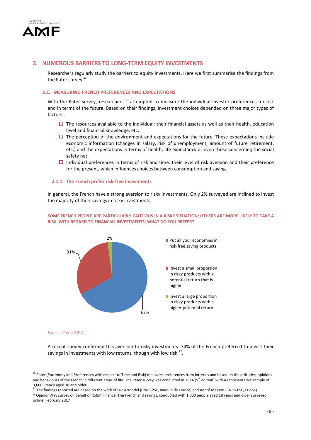

# **2. NUMEROUS BARRIERS TO LONG-TERM EQUITY INVESTMENTS**

Researchers regularly study the barriers to equity investments. Here we first summarise the findings from the Pater survey*[20](#page-8-0)* .

# **2.1. MEASURING FRENCH PREFERENCES AND EXPECTATIONS**

With the Pater survey, researchers *[21](#page-8-1)* attempted to measure the individual investor preferences for risk and in terms of the future. Based on their findings, investment choices depended on three major types of factors :

- $\Box$  The resources available to the individual: their financial assets as well as their health, education level and financial knowledge, etc.
- $\Box$  The perception of the environment and expectations for the future. These expectations include economic information (changes in salary, risk of unemployment, amount of future retirement, etc.) and the expectations in terms of health, life expectancy or even those concerning the social safety net.
- $\Box$  Individual preferences in terms of risk and time: their level of risk aversion and their preference for the present, which influences choices between consumption and saving.

#### **2.1.1. The French prefer risk-free investments**

In general, the French have a strong aversion to risky investments. Only 2% surveyed are inclined to invest the majority of their savings in risky investments.



### **SOME FRENCH PEOPLE ARE PARTICULARLY CAUTIOUS IN A RISKY SITUATION; OTHERS ARE MORE LIKELY TO TAKE A RISK. WITH REGARD TO FINANCIAL INVESTMENTS, WHAT DO YOU PREFER?**

#### SOURCE : PATER 2014

-

A recent survey confirmed this aversion to risky investments: 74% of the French preferred to invest their savings in investments with low returns, though with low risk  $^{22}$  $^{22}$  $^{22}$ .

<span id="page-8-0"></span><sup>&</sup>lt;sup>20</sup> Pater (Patrimony and Preferences with respect to Time and Risk) measures preferences from lotteries and based on the attitudes, opinions and behaviours of the French in different areas of life. The Pater survey was conducted in 2014 (5<sup>th</sup> edition) with a representative sample of and Scharfford and Scharfford 18 and older.<br>3,600 French aged 18 and older.<br><sup>21</sup> The findings reported are based on the work of Luc Arrondel (CNRS-PSE, Banque de France) and André Masson (CNRS-PSE, EHESS).

<span id="page-8-2"></span><span id="page-8-1"></span><sup>&</sup>lt;sup>22</sup> Opinion Way survey on behalf of Robin' Finance, The French and savings, conducted with 1,000 people aged 18 years and older surveyed online, February 2017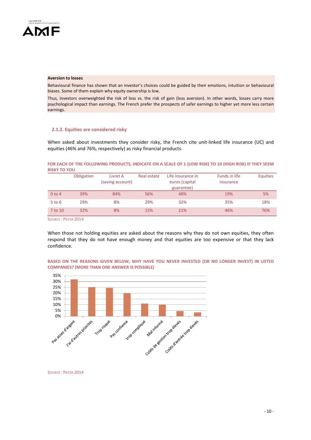

# **Aversion to losses**

Behavioural finance has shown that an investor's choices could be guided by their emotions, intuition or behavioural biases. Some of them explain why equity ownership is low.

Thus, investors overweighted the risk of loss vs. the risk of gain (loss aversion). In other words, losses carry more psychological impact than earnings. The French prefer the prospects of safer earnings to higher yet more less certain earnings.

# **2.1.2. Equities are considered risky**

When asked about investments they consider risky, the French cite unit-linked life insurance (UC) and equities (46% and 76%, respectively) as risky financial products.

### **FOR EACH OF THE FOLLOWING PRODUCTS, INDICATE ON A SCALE OF 1 (LOW RISK) TO 10 (HIGH RISK) IF THEY SEEM RISKY TO YOU**

|            | Obligation | Livret A<br>(saving account) | Real estate | Life insurance in<br>euros (capital | <b>Funds in life</b><br>insurance | <b>Equities</b> |
|------------|------------|------------------------------|-------------|-------------------------------------|-----------------------------------|-----------------|
|            |            |                              |             | guarantee)                          |                                   |                 |
| $0$ to 4   | 39%        | 84%                          | 56%         | 48%                                 | 19%                               | 5%              |
| $5$ to $6$ | 29%        | 8%                           | 29%         | 32%                                 | 35%                               | 18%             |
| 7 to 10    | 32%        | 8%                           | 15%         | 21%                                 | 46%                               | 76%             |

SOURCE : PATER 2014

When those not holding equities are asked about the reasons why they do not own equities, they often respond that they do not have enough money and that equities are too expensive or that they lack confidence.



## **BASED ON THE REASONS GIVEN BELOW, WHY HAVE YOU NEVER INVESTED (OR NO LONGER INVEST) IN LISTED COMPANIES? (MORE THAN ONE ANSWER IS POSSIBLE)**

SOURCE : PATER 2014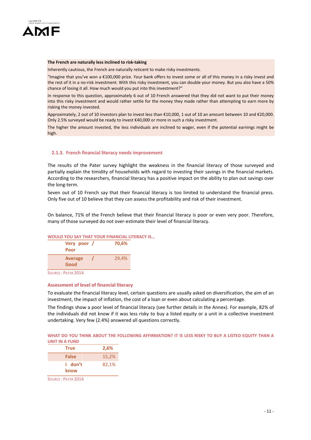

### **The French are naturally less inclined to risk-taking**

Inherently cautious, the French are naturally reticent to make risky investments.

"Imagine that you've won a €100,000 prize. Your bank offers to invest some or all of this money in a risky invest and the rest of it in a no-risk investment. With this risky investment, you can double your money. But you also have a 50% chance of losing it all. How much would you put into this investment?"

In response to this question, approximately 6 out of 10 French answered that they did not want to put their money into this risky investment and would rather settle for the money they made rather than attempting to earn more by risking the money invested.

Approximately, 2 out of 10 investors plan to invest less than €10,000, 1 out of 10 an amount between 10 and €20,000. Only 2.5% surveyed would be ready to invest €40,000 or more in such a risky investment.

The higher the amount invested, the less individuals are inclined to wager, even if the potential earnings might be high.

# **2.1.3. French financial literacy needs improvement**

The results of the Pater survey highlight the weakness in the financial literacy of those surveyed and partially explain the timidity of households with regard to investing their savings in the financial markets. According to the researchers, financial literacy has a positive impact on the ability to plan out savings over the long-term.

Seven out of 10 French say that their financial literacy is too limited to understand the financial press. Only five out of 10 believe that they can assess the profitability and risk of their investment.

On balance, 71% of the French believe that their financial literacy is poor or even very poor. Therefore, many of those surveyed do not over-estimate their level of financial literacy.

# **WOULD YOU SAY THAT YOUR FINANCIAL LITERACY IS...**



# **Assessment of level of financial literacy**

To evaluate the financial literacy level, certain questions are usually asked on diversification, the aim of an investment, the impact of inflation, the cost of a loan or even about calculating a percentage.

The findings show a poor level of financial literacy (see further details in the Annex). For example, 82% of the individuals did not know if it was less risky to buy a listed equity or a unit in a collective investment undertaking. Very few (2.4%) answered all questions correctly.

|                |  | WHAT DO YOU THINK ABOUT THE FOLLOWING AFFIRMATION? IT IS LESS RISKY TO BUY A LISTED EQUITY THAN A |  |  |  |  |
|----------------|--|---------------------------------------------------------------------------------------------------|--|--|--|--|
| UNIT IN A FUND |  |                                                                                                   |  |  |  |  |

| <b>True</b>     | 2,6%  |
|-----------------|-------|
| False           | 15,2% |
| I don't<br>know | 82,1% |

SOURCE : PATER 2014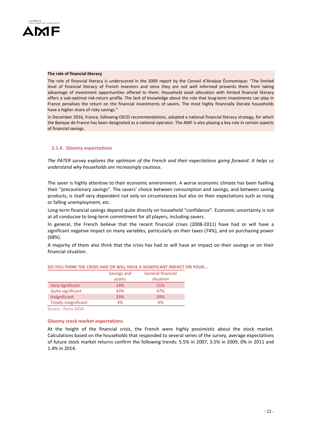

#### **The role of financial literacy**

The role of financial literacy is underscored in the 2009 report by the Conseil d'Analyse Économique: "The limited level of financial literacy of French investors and since they are not well informed prevents them from taking advantage of investment opportunities offered to them. Household asset allocation with limited financial literacy offers a sub-optimal risk-return profile. The lack of knowledge about the role that long-term investments can play in France penalises the return on the financial investments of savers. The most highly financially literate households have a higher share of risky savings."

In December 2016, France, following OECD recommendations, adopted a national financial literacy strategy, for which the Banque de France has been designated as a national operator. The AMF is also playing a key role in certain aspects of financial savings.

#### **2.1.4. Gloomy expectations**

*The PATER survey explores the optimism of the French and their expectations going forward. It helps us understand why households are increasingly cautious.* 

The saver is highly attentive to their economic environment. A worse economic climate has been fuelling their "precautionary savings". The savers' choice between consumption and savings, and between saving products, is itself very dependent not only on circumstances but also on their expectations such as rising or falling unemployment, etc.

Long-term financial savings depend quite directly on household "confidence". Economic uncertainty is not at all conducive to long-term commitment for all players, including savers.

In general, the French believe that the recent financial crises (2008-2011) have had or will have a significant negative impact on many variables, particularly on their taxes (74%), and on purchasing power (68%).

A majority of them also think that the crisis has had or will have an impact on their savings or on their financial situation.

|                              | Savings and | <b>General financial</b> |
|------------------------------|-------------|--------------------------|
|                              | assets      | situation                |
| Very significant             | 14%         | 15%                      |
| Quite significant            | 43%         | 47%                      |
| Insignificant                | 39%         | 39%                      |
| <b>Totally insignificant</b> | 4%          | 4%                       |

# **DO YOU THINK THE CRISIS HAD OR WILL HAVE A SIGNIFICANT IMPACT ON YOUR...**

SOURCE : PATER 2014

#### **Gloomy stock market expectations**

At the height of the financial crisis, the French were highly pessimistic about the stock market. Calculations based on the households that responded to several series of the survey, average expectations of future stock market returns confirm the following trends: 5.5% in 2007, 3.5% in 2009, 0% in 2011 and 1.4% in 2014.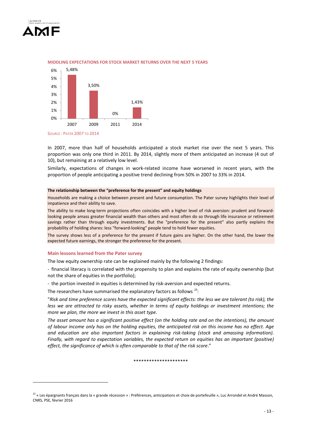



#### **MIDDLING EXPECTATIONS FOR STOCK MARKET RETURNS OVER THE NEXT 5 YEARS**

In 2007, more than half of households anticipated a stock market rise over the next 5 years. This proportion was only one third in 2011. By 2014, slightly more of them anticipated an increase (4 out of 10), but remaining at a relatively low level.

Similarly, expectations of changes in work-related income have worsened in recent years, with the proportion of people anticipating a positive trend declining from 50% in 2007 to 33% in 2014.

### **The relationship between the "preference for the present" and equity holdings**

Households are making a choice between present and future consumption. The Pater survey highlights their level of impatience and their ability to save.

The ability to make long-term projections often coincides with a higher level of risk aversion: prudent and forwardlooking people amass greater financial wealth than others and most often do so through life insurance or retirement savings rather than through equity investments. But the "preference for the present" also partly explains the probability of holding shares: less "forward-looking" people tend to hold fewer equities.

The survey shows less of a preference for the present if future gains are higher. On the other hand, the lower the expected future earnings, the stronger the preference for the present.

#### **Main lessons learned from the Pater survey**

The low equity ownership rate can be explained mainly by the following 2 findings:

- financial literacy is correlated with the propensity to plan and explains the rate of equity ownership (but not the share of equities in the portfolio);

- the portion invested in equities is determined by risk-aversion and expected returns.

The researchers have summarised the explanatory factors as follows  $^{23}$  $^{23}$  $^{23}$ :

"*Risk and time preference scores have the expected significant effects: the less we are tolerant (to risk), the less we are attracted to risky assets, whether in terms of equity holdings or investment intentions; the more we plan, the more we invest in this asset type*.

*The asset amount has a significant positive effect (on the holding rate and on the intentions), the amount of labour income only has on the holding equities, the anticipated risk on this income has no effect. Age and education are also important factors in explaining risk-taking (stock and amassing information). Finally, with regard to expectation variables, the expected return on equities has an important (positive) effect, the significance of which is often comparable to that of the risk score*."

\*\*\*\*\*\*\*\*\*\*\*\*\*\*\*\*\*\*\*\*\*

<span id="page-12-0"></span><sup>&</sup>lt;sup>23</sup> « Les épargnants français dans la « grande récession » : Préférences, anticipations et choix de portefeuille », Luc Arrondel et André Masson, CNRS, PSE, février 2016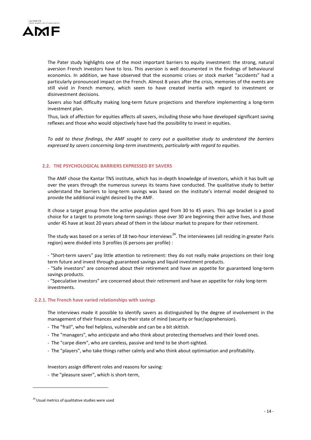

The Pater study highlights one of the most important barriers to equity investment: the strong, natural aversion French investors have to loss. This aversion is well documented in the findings of behavioural economics. In addition, we have observed that the economic crises or stock market "accidents" had a particularly pronounced impact on the French. Almost 8 years after the crisis, memories of the events are still vivid in French memory, which seem to have created inertia with regard to investment or disinvestment decisions.

Savers also had difficulty making long-term future projections and therefore implementing a long-term investment plan.

Thus, lack of affection for equities affects all savers, including those who have developed significant saving reflexes and those who would objectively have had the possibility to invest in equities.

*To add to these findings, the AMF sought to carry out a qualitative study to understand the barriers expressed by savers concerning long-term investments, particularly with regard to equities.*

# **2.2. THE PSYCHOLOGICAL BARRIERS EXPRESSED BY SAVERS**

The AMF chose the Kantar TNS institute, which has in-depth knowledge of investors, which it has built up over the years through the numerous surveys its teams have conducted. The qualitative study to better understand the barriers to long-term savings was based on the institute's internal model designed to provide the additional insight desired by the AMF.

It chose a target group from the active population aged from 30 to 45 years. This age bracket is a good choice for a target to promote long-term savings: those over 30 are beginning their active lives, and those under 45 have at least 20 years ahead of them in the labour market to prepare for their retirement.

The study was based on a series of 18 two-hour interviews<sup>24</sup>. The interviewees (all residing in greater Paris region) were divided into 3 profiles (6 persons per profile) :

- "Short-term savers" pay little attention to retirement: they do not really make projections on their long term future and invest through guaranteed savings and liquid investment products.

- "Safe investors" are concerned about their retirement and have an appetite for guaranteed long-term savings products.

- "Speculative investors" are concerned about their retirement and have an appetite for risky long-term investments.

# **2.2.1. The French have varied relationships with savings**

The interviews made it possible to identify savers as distinguished by the degree of involvement in the management of their finances and by their state of mind (security or fear/apprehension).

- The "frail", who feel helpless, vulnerable and can be a bit skittish.
- The "managers", who anticipate and who think about protecting themselves and their loved ones.
- The "carpe diem", who are careless, passive and tend to be short-sighted.
- The "players", who take things rather calmly and who think about optimisation and profitability.

Investors assign different roles and reasons for saving:

- the "pleasure saver", which is short-term,

<u>.</u>

<span id="page-13-0"></span><sup>&</sup>lt;sup>24</sup> Usual metrics of qualitative studies were used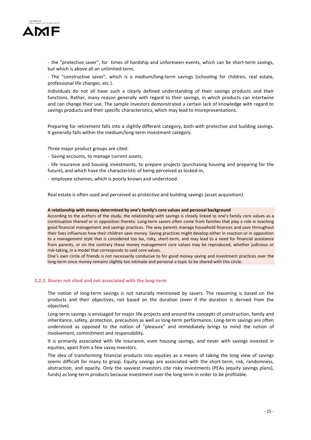

- the "protective saver", for times of hardship and unforeseen events, which can be short-term savings, but which is above all an unlimited-term,

- The "constructive saver", which is a medium/long-term savings (schooling for children, real estate, professional life changes, etc.).

Individuals do not all have such a clearly defined understanding of their savings products and their functions. Rather, many reason generally with regard to their savings, in which products can intertwine and can change their use. The sample investors demonstrated a certain lack of knowledge with regard to savings products and their specific characteristics, which may lead to misrepresentations.

Preparing for retirement falls into a slightly different category, both with protective and building savings. It generally falls within the medium/long-term investment category.

Three major product groups are cited:

- Saving accounts, to manage current assets,

- life insurance and housing investments, to prepare projects (purchasing housing and preparing for the future), and which have the characteristic of being perceived as locked-in,

- employee schemes, which is poorly known and understood.

Real estate is often used and perceived as protective and building savings (asset acquisition).

#### **A relationship with money determined by one's family's core values and personal background**

According to the authors of the study, the relationship with savings is closely linked to one's family core values as a continuation thereof or in opposition thereto. Long-term savers often come from families that play a role in teaching good financial management and savings practices. The way parents manage household finances and save throughout their lives influences how their children save money. Saving practices might develop either in reaction or in opposition to a management style that is considered too lax, risky, short-term, and may lead to a need for financial assistance from parents, or on the contrary these money management core values may be reproduced, whether judicious or risk-taking, in a model that corresponds to said core values.

One's own circle of friends is not necessarily conducive to for good money saving and investment practices over the long-term since money remains slightly too intimate and personal a topic to be shared with this circle.

### **2.2.2. Shares not cited and not associated with the long-term**

The notion of long-term savings is not naturally mentioned by savers. The reasoning is based on the products and their objectives, not based on the duration (even if the duration is derived from the objective).

Long-term savings is envisaged for major life projects and around the concepts of construction, family and inheritance, safety, protection, precaution as well as long-term performance. Long-term savings are often understood as opposed to the notion of "pleasure" and immediately brings to mind the notion of involvement, commitment and responsibility.

It is primarily associated with life insurance, even housing savings, and never with savings invested in equities, apart from a few savvy investors.

The idea of transforming financial products into equities as a means of taking the long view of savings seems difficult for many to grasp. Equity savings are associated with the short-term, risk, randomness, abstraction, and opacity. Only the savviest investors cite risky investments (PEAs (equity savings plans), funds) as long-term products because investment over the long term in order to be profitable.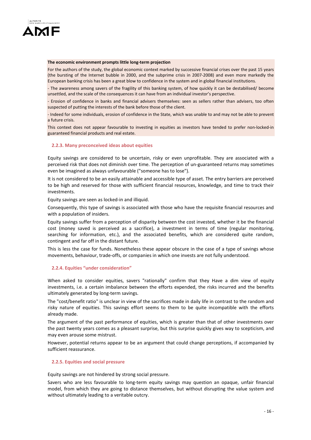

#### **The economic environment prompts little long-term projection**

For the authors of the study, the global economic context marked by successive financial crises over the past 15 years (the bursting of the Internet bubble in 2000, and the subprime crisis in 2007-2008) and even more markedly the European banking crisis has been a great blow to confidence in the system and in global financial institutions.

- The awareness among savers of the fragility of this banking system, of how quickly it can be destabilised/ become unsettled, and the scale of the consequences it can have from an individual investor's perspective.

- Erosion of confidence in banks and financial advisers themselves: seen as sellers rather than advisers, too often suspected of putting the interests of the bank before those of the client.

- Indeed for some individuals, erosion of confidence in the State, which was unable to and may not be able to prevent a future crisis.

This context does not appear favourable to investing in equities as investors have tended to prefer non-locked-in guaranteed financial products and real estate.

### **2.2.3. Many preconceived ideas about equities**

Equity savings are considered to be uncertain, risky or even unprofitable. They are associated with a perceived risk that does not diminish over time. The perception of un-guaranteed returns may sometimes even be imagined as always unfavourable ("someone has to lose").

It is not considered to be an easily attainable and accessible type of asset. The entry barriers are perceived to be high and reserved for those with sufficient financial resources, knowledge, and time to track their investments.

Equity savings are seen as locked-in and illiquid.

Consequently, this type of savings is associated with those who have the requisite financial resources and with a population of insiders.

Equity savings suffer from a perception of disparity between the cost invested, whether it be the financial cost (money saved is perceived as a sacrifice), a investment in terms of time (regular monitoring, searching for information, etc.), and the associated benefits, which are considered quite random, contingent and far off in the distant future.

This is less the case for funds. Nonetheless these appear obscure in the case of a type of savings whose movements, behaviour, trade-offs, or companies in which one invests are not fully understood.

# **2.2.4. Equities "under consideration"**

When asked to consider equities, savers "rationally" confirm that they Have a dim view of equity investments, i.e. a certain imbalance between the efforts expended, the risks incurred and the benefits ultimately generated by long-term savings.

The "cost/benefit ratio" is unclear in view of the sacrifices made in daily life in contrast to the random and risky nature of equities. This savings effort seems to them to be quite incompatible with the efforts already made.

The argument of the past performance of equities, which is greater than that of other investments over the past twenty years comes as a pleasant surprise, but this surprise quickly gives way to scepticism, and may even arouse some mistrust.

However, potential returns appear to be an argument that could change perceptions, if accompanied by sufficient reassurance.

### **2.2.5. Equities and social pressure**

Equity savings are not hindered by strong social pressure.

Savers who are less favourable to long-term equity savings may question an opaque, unfair financial model, from which they are going to distance themselves, but without disrupting the value system and without ultimately leading to a veritable outcry.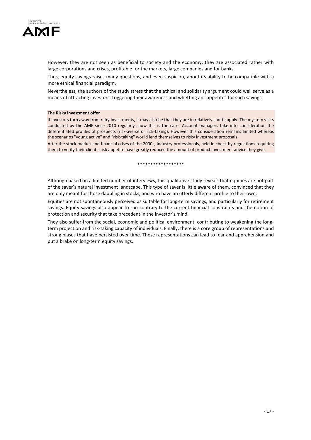

However, they are not seen as beneficial to society and the economy: they are associated rather with large corporations and crises, profitable for the markets, large companies and for banks.

Thus, equity savings raises many questions, and even suspicion, about its ability to be compatible with a more ethical financial paradigm.

Nevertheless, the authors of the study stress that the ethical and solidarity argument could well serve as a means of attracting investors, triggering their awareness and whetting an "appetite" for such savings.

#### **The Risky investment offer**

If investors turn away from risky investments, it may also be that they are in relatively short supply. The mystery visits conducted by the AMF since 2010 regularly show this is the case. Account managers take into consideration the differentiated profiles of prospects (risk-averse or risk-taking). However this consideration remains limited whereas the scenarios "young active" and "risk-taking" would lend themselves to risky investment proposals.

After the stock market and financial crises of the 2000s, industry professionals, held in check by regulations requiring them to verify their client's risk appetite have greatly reduced the amount of product investment advice they give.

\*\*\*\*\*\*\*\*\*\*\*\*\*\*\*\*\*\*

Although based on a limited number of interviews, this qualitative study reveals that equities are not part of the saver's natural investment landscape. This type of saver is little aware of them, convinced that they are only meant for those dabbling in stocks, and who have an utterly different profile to their own.

Equities are not spontaneously perceived as suitable for long-term savings, and particularly for retirement savings. Equity savings also appear to run contrary to the current financial constraints and the notion of protection and security that take precedent in the investor's mind.

They also suffer from the social, economic and political environment, contributing to weakening the longterm projection and risk-taking capacity of individuals. Finally, there is a core group of representations and strong biases that have persisted over time. These representations can lead to fear and apprehension and put a brake on long-term equity savings.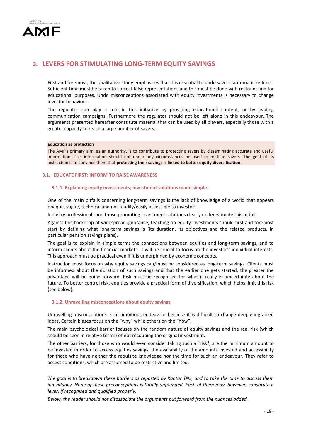

# **3. LEVERS FOR STIMULATING LONG-TERM EQUITY SAVINGS**

First and foremost, the qualitative study emphasises that it is essential to undo savers' automatic reflexes. Sufficient time must be taken to correct false representations and this must be done with restraint and for educational purposes. Undo misconceptions associated with equity investments is necessary to change investor behaviour.

The regulator can play a role in this initiative by providing educational content, or by leading communication campaigns. Furthermore the regulator should not be left alone in this endeavour. The arguments presented hereafter constitute material that can be used by all players, especially those with a greater capacity to reach a large number of savers.

### **Education as protection**

The AMF's primary aim, as an authority, is to contribute to protecting savers by disseminating accurate and useful information. This information should not under any circumstances be used to mislead savers. The goal of its instruction is to convince them that **protecting their savings is linked to better equity diversification.**

# **3.1. EDUCATE FIRST: INFORM TO RAISE AWARENESS**

# **3.1.1. Explaining equity investments; investment solutions made simple**

One of the main pitfalls concerning long-term savings is the lack of knowledge of a world that appears opaque, vague, technical and not readily/easily accessible to investors.

Industry professionals and those promoting investment solutions clearly underestimate this pitfall.

Against this backdrop of widespread ignorance, teaching on equity investments should first and foremost start by defining what long-term savings is (its duration, its objectives and the related products, in particular pension savings plans).

The goal is to explain in simple terms the connections between equities and long-term savings, and to inform clients about the financial markets. It will be crucial to focus on the investor's individual interests. This approach must be practical even if it is underpinned by economic concepts.

Instruction must focus on why equity savings can/must be considered as long-term savings. Clients must be informed about the duration of such savings and that the earlier one gets started, the greater the advantage will be going forward. Risk must be recognised for what it really is: uncertainty about the future. To better control risk, equities provide a practical form of diversification, which helps limit this risk (see below).

# **3.1.2. Unravelling misconceptions about equity savings**

Unravelling misconceptions is an ambitious endeavour because it is difficult to change deeply ingrained ideas. Certain biases focus on the "why" while others on the "how".

The main psychological barrier focuses on the random nature of equity savings and the real risk (which should be seen in relative terms) of not recouping the original investment.

The other barriers, for those who would even consider taking such a "risk", are the minimum amount to be invested in order to access equities savings, the availability of the amounts invested and accessibility for those who have neither the requisite knowledge nor the time for such an endeavour. They refer to access conditions, which are assumed to be restrictive and limited.

*The goal is to breakdown these barriers as reported by Kantar TNS, and to take the time to discuss them individually. None of these preconceptions is totally unfounded. Each of them may, however, constitute a lever, if recognised and qualified properly.* 

*Below, the reader should not disassociate the arguments put forward from the nuances added.*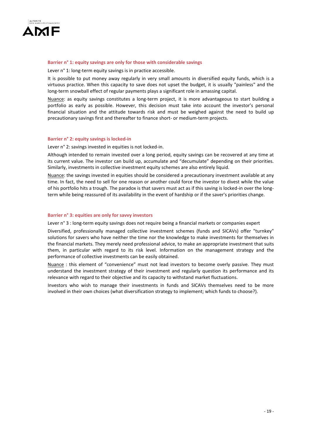

### **Barrier n° 1: equity savings are only for those with considerable savings**

Lever n° 1: long-term equity savings is in practice accessible.

It is possible to put money away regularly in very small amounts in diversified equity funds, which is a virtuous practice. When this capacity to save does not upset the budget, it is usually "painless" and the long-term snowball effect of regular payments plays a significant role in amassing capital.

Nuance: as equity savings constitutes a long-term project, it is more advantageous to start building a portfolio as early as possible. However, this decision must take into account the investor's personal financial situation and the attitude towards risk and must be weighed against the need to build up precautionary savings first and thereafter to finance short- or medium-term projects.

### **Barrier n° 2: equity savings is locked-in**

Lever n° 2: savings invested in equities is not locked-in.

Although intended to remain invested over a long period, equity savings can be recovered at any time at its current value. The investor can build up, accumulate and "decumulate" depending on their priorities. Similarly, investments in collective investment equity schemes are also entirely liquid.

Nuance: the savings invested in equities should be considered a precautionary investment available at any time. In fact, the need to sell for one reason or another could force the investor to divest while the value of his portfolio hits a trough. The paradox is that savers must act as if this saving is locked-in over the longterm while being reassured of its availability in the event of hardship or if the saver's priorities change.

### **Barrier n° 3: equities are only for savvy investors**

Lever n° 3 : long-term equity savings does not require being a financial markets or companies expert

Diversified, professionally managed collective investment schemes (funds and SICAVs) offer "turnkey" solutions for savers who have neither the time nor the knowledge to make investments for themselves in the financial markets. They merely need professional advice, to make an appropriate investment that suits them, in particular with regard to its risk level. Information on the management strategy and the performance of collective investments can be easily obtained.

Nuance : this element of "convenience" must not lead investors to become overly passive. They must understand the investment strategy of their investment and regularly question its performance and its relevance with regard to their objective and its capacity to withstand market fluctuations.

Investors who wish to manage their investments in funds and SICAVs themselves need to be more involved in their own choices (what diversification strategy to implement; which funds to choose?).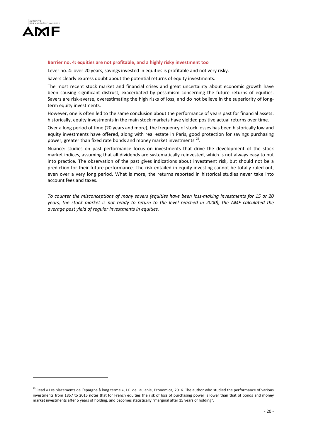

# **Barrier no. 4: equities are not profitable, and a highly risky investment too**

Lever no. 4: over 20 years, savings invested in equities is profitable and not very risky.

Savers clearly express doubt about the potential returns of equity investments.

The most recent stock market and financial crises and great uncertainty about economic growth have been causing significant distrust, exacerbated by pessimism concerning the future returns of equities. Savers are risk-averse, overestimating the high risks of loss, and do not believe in the superiority of longterm equity investments.

However, one is often led to the same conclusion about the performance of years past for financial assets: historically, equity investments in the main stock markets have yielded positive actual returns over time.

Over a long period of time (20 years and more), the frequency of stock losses has been historically low and equity investments have offered, along with real estate in Paris, good protection for savings purchasing power, greater than fixed rate bonds and money market investments<sup>[25](#page-19-0)</sup>.

Nuance: studies on past performance focus on investments that drive the development of the stock market indices, assuming that all dividends are systematically reinvested, which is not always easy to put into practice. The observation of the past gives indications about investment risk, but should not be a prediction for their future performance. The risk entailed in equity investing cannot be totally ruled out, even over a very long period. What is more, the returns reported in historical studies never take into account fees and taxes.

*To counter the misconceptions of many savers (equities have been loss-making investments for 15 or 20 years, the stock market is not ready to return to the level reached in 2000), the AMF calculated the average past yield of regular investments in equities.* 

<span id="page-19-0"></span><sup>&</sup>lt;sup>25</sup> Read « Les placements de l'épargne à long terme », J.F. de Laulanié, Economica, 2016. The author who studied the performance of various investments from 1857 to 2015 notes that for French equities the risk of loss of purchasing power is lower than that of bonds and money market investments after 5 years of holding, and becomes statistically "marginal after 15 years of holding".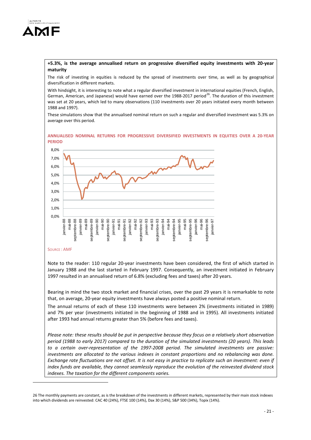

# **+5.3%, is the average annualised return on progressive diversified equity investments with 20-year maturity**

The risk of investing in equities is reduced by the spread of investments over time, as well as by geographical diversification in different markets.

With hindsight, it is interesting to note what a regular diversified investment in international equities (French, English, German, American, and Japanese) would have earned over the 1988-2017 period<sup>26</sup>. The duration of this investment was set at 20 years, which led to many observations (110 investments over 20 years initiated every month between 1988 and 1997).

These simulations show that the annualised nominal return on such a regular and diversified investment was 5.3% on average over this period.

#### **ANNUALISED NOMINAL RETURNS FOR PROGRESSIVE DIVERSIFIED INVESTMENTS IN EQUITIES OVER A 20-YEAR PERIOD**



# SOURCE : AMF

-

Note to the reader: 110 regular 20-year investments have been considered, the first of which started in January 1988 and the last started in February 1997. Consequently, an investment initiated in February 1997 resulted in an annualised return of 6.8% (excluding fees and taxes) after 20 years.

Bearing in mind the two stock market and financial crises, over the past 29 years it is remarkable to note that, on average, 20-year equity investments have always posted a positive nominal return.

The annual returns of each of these 110 investments were between 2% (investments initiated in 1989) and 7% per year (investments initiated in the beginning of 1988 and in 1995). All investments initiated after 1993 had annual returns greater than 5% (before fees and taxes).

*Please note: these results should be put in perspective because they focus on a relatively short observation period (1988 to early 2017) compared to the duration of the simulated investments (20 years). This leads to a certain over-representation of the 1997-2008 period. The simulated investments are passive: investments are allocated to the various indexes in constant proportions and no rebalancing was done. Exchange rate fluctuations are not offset. It is not easy in practice to replicate such an investment: even if index funds are available, they cannot seamlessly reproduce the evolution of the reinvested dividend stock indexes. The taxation for the different components varies.*

<span id="page-20-0"></span><sup>26</sup> The monthly payments are constant, as is the breakdown of the investments in different markets, represented by their main stock indexes into which dividends are reinvested: CAC 40 (24%), FTSE 100 (14%), Dax 30 (14%), S&P 500 (34%), Topix (14%).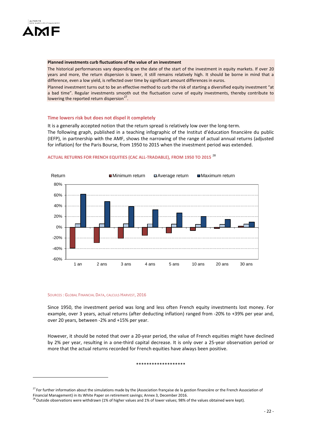

#### **Planned investments curb fluctuations of the value of an investment**

The historical performances vary depending on the date of the start of the investment in equity markets. If over 20 years and more, the return dispersion is lower, it still remains relatively high. It should be borne in mind that a difference, even a low yield, is reflected over time by significant amount differences in euros.

Planned investment turns out to be an effective method to curb the risk of starting a diversified equity investment "at a bad time". Regular investments smooth out the fluctuation curve of equity investments, thereby contribute to lowering the reported return dispersion $^{27}$  $^{27}$  $^{27}$ .

# **Time lowers risk but does not dispel it completely**

It is a generally accepted notion that the return spread is relatively low over the long-term.

The following graph, published in a teaching infographic of the Institut d'éducation financière du public (IEFP), in partnership with the AMF, shows the narrowing of the range of actual annual returns (adjusted for inflation) for the Paris Bourse, from 1950 to 2015 when the investment period was extended.



# **ACTUAL RETURNS FOR FRENCH EQUITIES (CAC ALL-TRADABLE), FROM 1950 TO 2015** [28](#page-21-1)

#### SOURCES : GLOBAL FINANCIAL DATA, CALCULS HARVEST, 2016

Since 1950, the investment period was long and less often French equity investments lost money. For example, over 3 years, actual returns (after deducting inflation) ranged from -20% to +39% per year and, over 20 years, between -2% and +15% per year.

However, it should be noted that over a 20-year period, the value of French equities might have declined by 2% per year, resulting in a one-third capital decrease. It is only over a 25-year observation period or more that the actual returns recorded for French equities have always been positive.

#### \*\*\*\*\*\*\*\*\*\*\*\*\*\*\*\*\*\*\*

<span id="page-21-0"></span> $27$  For further information about the simulations made by the (Association française de la gestion financière or the French Association of Financial Management) in its White Paper on retirement savings; Annex 3, December 2016.

<span id="page-21-1"></span> $^{28}$  Outside observations were withdrawn (1% of higher values and 1% of lower values; 98% of the values obtained were kept).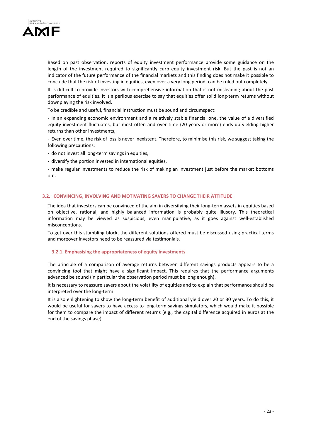

Based on past observation, reports of equity investment performance provide some guidance on the length of the investment required to significantly curb equity investment risk. But the past is not an indicator of the future performance of the financial markets and this finding does not make it possible to conclude that the risk of investing in equities, even over a very long period, can be ruled out completely.

It is difficult to provide investors with comprehensive information that is not misleading about the past performance of equities. It is a perilous exercise to say that equities offer solid long-term returns without downplaying the risk involved.

To be credible and useful, financial instruction must be sound and circumspect:

- In an expanding economic environment and a relatively stable financial one, the value of a diversified equity investment fluctuates, but most often and over time (20 years or more) ends up yielding higher returns than other investments,

- Even over time, the risk of loss is never inexistent. Therefore, to minimise this risk, we suggest taking the following precautions:

- do not invest all long-term savings in equities,

- diversify the portion invested in international equities,

- make regular investments to reduce the risk of making an investment just before the market bottoms out.

# **3.2. CONVINCING, INVOLVING AND MOTIVATING SAVERS TO CHANGE THEIR ATTITUDE**

The idea that investors can be convinced of the aim in diversifying their long-term assets in equities based on objective, rational, and highly balanced information is probably quite illusory. This theoretical information may be viewed as suspicious, even manipulative, as it goes against well-established misconceptions.

To get over this stumbling block, the different solutions offered must be discussed using practical terms and moreover investors need to be reassured via testimonials.

### **3.2.1. Emphasising the appropriateness of equity investments**

The principle of a comparison of average returns between different savings products appears to be a convincing tool that might have a significant impact. This requires that the performance arguments advanced be sound (in particular the observation period must be long enough).

It is necessary to reassure savers about the volatility of equities and to explain that performance should be interpreted over the long-term.

It is also enlightening to show the long-term benefit of additional yield over 20 or 30 years. To do this, it would be useful for savers to have access to long-term savings simulators, which would make it possible for them to compare the impact of different returns (e.g., the capital difference acquired in euros at the end of the savings phase).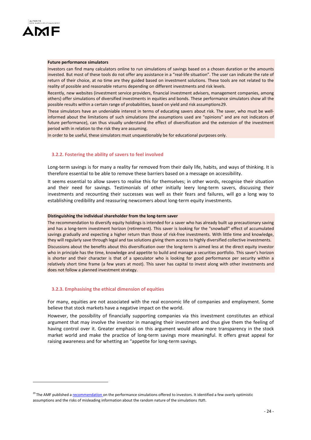

#### **Future performance simulators**

Investors can find many calculators online to run simulations of savings based on a chosen duration or the amounts invested. But most of these tools do not offer any assistance in a "real-life situation". The user can indicate the rate of return of their choice, at no time are they guided based on investment solutions. These tools are not related to the reality of possible and reasonable returns depending on different investments and risk levels.

Recently, new websites (investment service providers, financial investment advisers, management companies, among others) offer simulations of diversified investments in equities and bonds. These performance simulators show all the possible results within a certain range of probabilities, based on yield and risk assumptions[29](#page-23-0).

These simulators have an undeniable interest in terms of educating savers about risk. The saver, who must be wellinformed about the limitations of such simulations (the assumptions used are "opinions" and are not indicators of future performance), can thus visually understand the effect of diversification and the extension of the investment period with in relation to the risk they are assuming.

In order to be useful, these simulators must unquestionably be for educational purposes only.

#### **3.2.2. Fostering the ability of savers to feel involved**

Long-term savings is for many a reality far removed from their daily life, habits, and ways of thinking. It is therefore essential to be able to remove these barriers based on a message on accessibility.

It seems essential to allow savers to realise this for themselves; in other words, recognise their situation and their need for savings. Testimonials of other initially leery long-term savers, discussing their investments and recounting their successes was well as their fears and failures, will go a long way to establishing credibility and reassuring newcomers about long-term equity investments.

#### **Distinguishing the individual shareholder from the long-term saver**

The recommendation to diversify equity holdings is intended for a saver who has already built up precautionary saving and has a long-term investment horizon (retirement). This saver is looking for the "snowball" effect of accumulated savings gradually and expecting a higher return than those of risk-free investments. With little time and knowledge, they will regularly save through legal and tax solutions giving them access to highly diversified collective investments. Discussions about the benefits about this diversification over the long-term is aimed less at the direct equity investor who in principle has the time, knowledge and appetite to build and manage a securities portfolio. This saver's horizon is shorter and their character is that of a speculator who is looking for good performance per security within a relatively short time frame (a few years at most). This saver has capital to invest along with other investments and does not follow a planned investment strategy.

#### **3.2.3. Emphasising the ethical dimension of equities**

For many, equities are not associated with the real economic life of companies and employment. Some believe that stock markets have a negative impact on the world.

However, the possibility of financially supporting companies via this investment constitutes an ethical argument that may involve the investor in managing their investment and thus give them the feeling of having control over it. Greater emphasis on this argument would allow more transparency in the stock market world and make the practice of long-term savings more meaningful. It offers great appeal for raising awareness and for whetting an "appetite for long-term savings.

<span id="page-23-0"></span><sup>&</sup>lt;sup>29</sup> The AMF published [a recommendation](http://www.amf-france.org/Actualites/Communiques-de-presse/AMF/annee-2017?docId=workspace://SpacesStore/5130728f-be35-4699-a8f6-d4a0438b3fb0) on the performance simulations offered to investors. It identified a few overly optimistic assumptions and the risks of misleading information about the random nature of the simulations run.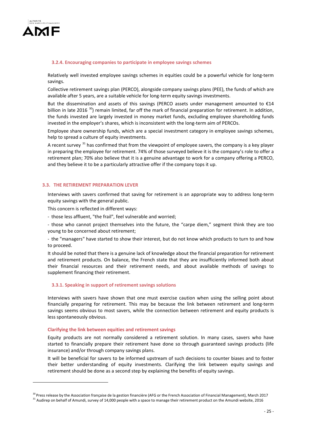

# **3.2.4. Encouraging companies to participate in employee savings schemes**

Relatively well invested employee savings schemes in equities could be a powerful vehicle for long-term savings.

Collective retirement savings plan (PERCO), alongside company savings plans (PEE), the funds of which are available after 5 years, are a suitable vehicle for long-term equity savings investments.

But the dissemination and assets of this savings (PERCO assets under management amounted to  $\epsilon$ 14 billion in late 2016<sup>30</sup>) remain limited, far off the mark of financial preparation for retirement. In addition, the funds invested are largely invested in money market funds, excluding employee shareholding funds invested in the employer's shares, which is inconsistent with the long-term aim of PERCOs.

Employee share ownership funds, which are a special investment category in employee savings schemes, help to spread a culture of equity investments.

A recent survey <sup>[31](#page-24-1)</sup> has confirmed that from the viewpoint of employee savers, the company is a key player in preparing the employee for retirement. 74% of those surveyed believe it is the company's role to offer a retirement plan; 70% also believe that it is a genuine advantage to work for a company offering a PERCO, and they believe it to be a particularly attractive offer if the company tops it up.

# **3.3. THE RETIREMENT PREPARATION LEVER**

Interviews with savers confirmed that saving for retirement is an appropriate way to address long-term equity savings with the general public.

This concern is reflected in different ways:

- those less affluent, "the frail", feel vulnerable and worried;

- those who cannot project themselves into the future, the "carpe diem," segment think they are too young to be concerned about retirement;

- the "managers" have started to show their interest, but do not know which products to turn to and how to proceed.

It should be noted that there is a genuine lack of knowledge about the financial preparation for retirement and retirement products. On balance, the French state that they are insufficiently informed both about their financial resources and their retirement needs, and about available methods of savings to supplement financing their retirement.

### **3.3.1. Speaking in support of retirement savings solutions**

Interviews with savers have shown that one must exercise caution when using the selling point about financially preparing for retirement. This may be because the link between retirement and long-term savings seems obvious to most savers, while the connection between retirement and equity products is less spontaneously obvious.

# **Clarifying the link between equities and retirement savings**

Equity products are not normally considered a retirement solution. In many cases, savers who have started to financially prepare their retirement have done so through guaranteed savings products (life insurance) and/or through company savings plans.

It will be beneficial for savers to be informed upstream of such decisions to counter biases and to foster their better understanding of equity investments. Clarifying the link between equity savings and retirement should be done as a second step by explaining the benefits of equity savings.

<span id="page-24-1"></span><span id="page-24-0"></span><sup>&</sup>lt;sup>30</sup> Press release by the Association française de la gestion financière (AFG or the French Association of Financial Management), March 2017 <sup>31</sup> Audirep on behalf of Amundi, survey of 14,000 people with a space to manage their retirement product on the Amundi website, 2016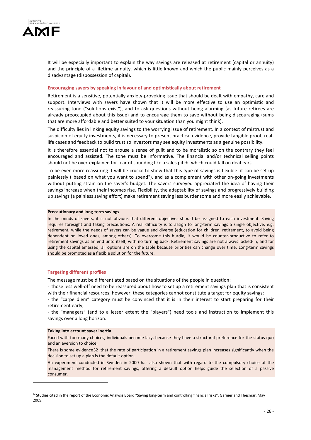

It will be especially important to explain the way savings are released at retirement (capital or annuity) and the principle of a lifetime annuity, which is little known and which the public mainly perceives as a disadvantage (dispossession of capital).

# **Encouraging savers by speaking in favour of and optimistically about retirement**

Retirement is a sensitive, potentially anxiety-provoking issue that should be dealt with empathy, care and support. Interviews with savers have shown that it will be more effective to use an optimistic and reassuring tone ("solutions exist"), and to ask questions without being alarming (as future retirees are already preoccupied about this issue) and to encourage them to save without being discouraging (sums that are more affordable and better suited to your situation than you might think).

The difficulty lies in linking equity savings to the worrying issue of retirement. In a context of mistrust and suspicion of equity investments, it is necessary to present practical evidence, provide tangible proof, reallife cases and feedback to build trust so investors may see equity investments as a genuine possibility.

It is therefore essential not to arouse a sense of guilt and to be moralistic so on the contrary they feel encouraged and assisted. The tone must be informative. The financial and/or technical selling points should not be over-explained for fear of sounding like a sales pitch, which could fall on deaf ears.

To be even more reassuring it will be crucial to show that this type of savings is flexible: it can be set up painlessly ("based on what you want to spend"), and as a complement with other on-going investments without putting strain on the saver's budget. The savers surveyed appreciated the idea of having their savings increase when their incomes rise. Flexibility, the adaptability of savings and progressively building up savings (a painless saving effort) make retirement saving less burdensome and more easily achievable.

#### **Precautionary and long-term savings**

In the minds of savers, it is not obvious that different objectives should be assigned to each investment. Saving requires foresight and taking precautions. A real difficulty is to assign to long-term savings a single objective, e.g. retirement, while the needs of savers can be vague and diverse (education for children, retirement, to avoid being dependent on loved ones, among others). To overcome this hurdle, it would be counter-productive to refer to retirement savings as an end unto itself, with no turning back. Retirement savings are not always locked-in, and for using the capital amassed, all options are on the table because priorities can change over time. Long-term savings should be promoted as a flexible solution for the future.

#### **Targeting different profiles**

The message must be differentiated based on the situations of the people in question:

- those less well-off need to be reassured about how to set up a retirement savings plan that is consistent with their financial resources; however, these categories cannot constitute a target for equity savings;

- the "carpe diem" category must be convinced that it is in their interest to start preparing for their retirement early;

- the "managers" (and to a lesser extent the "players") need tools and instruction to implement this savings over a long horizon.

#### **Taking into account saver inertia**

-

Faced with too many choices, individuals become lazy, because they have a structural preference for the status quo and an aversion to choice.

There is some evidence[32](#page-25-0) that the rate of participation in a retirement savings plan increases significantly when the decision to set up a plan is the default option.

An experiment conducted in Sweden in 2000 has also shown that with regard to the compulsory choice of the management method for retirement savings, offering a default option helps guide the selection of a passive consumer.

<span id="page-25-0"></span><sup>&</sup>lt;sup>32</sup> Studies cited in the report of the Economic Analysis Board "Saving long-term and controlling financial risks", Garnier and Thesmar, May 2009.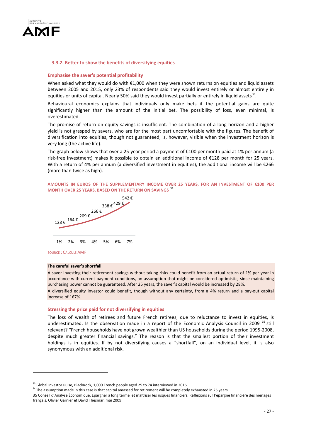

#### **3.3.2. Better to show the benefits of diversifying equities**

#### **Emphasise the saver's potential profitability**

When asked what they would do with €1,000 when they were shown returns on equities and liquid assets between 2005 and 2015, only 23% of respondents said they would invest entirely or almost entirely in equities or units of capital. Nearly 50% said they would invest partially or entirely in liquid assets<sup>33</sup>.

Behavioural economics explains that individuals only make bets if the potential gains are quite significantly higher than the amount of the initial bet. The possibility of loss, even minimal, is overestimated.

The promise of return on equity savings is insufficient. The combination of a long horizon and a higher yield is not grasped by savers, who are for the most part uncomfortable with the figures. The benefit of diversification into equities, though not guaranteed, is, however, visible when the investment horizon is very long (the active life).

The graph below shows that over a 25-year period a payment of €100 per month paid at 1% per annum (a risk-free investment) makes it possible to obtain an additional income of €128 per month for 25 years. With a return of 4% per annum (a diversified investment in equities), the additional income will be  $\epsilon$ 266 (more than twice as high).

# **AMOUNTS IN EUROS OF THE SUPPLEMENTARY INCOME OVER 25 YEARS, FOR AN INVESTMENT OF €100 PER MONTH OVER 25 YEARS, BASED ON THE RETURN ON SAVINGS** [34](#page-26-1)



# SOURCE : CALCULS AMF

-

# **The careful saver's shortfall**

A saver investing their retirement savings without taking risks could benefit from an actual return of 1% per year in accordance with current payment conditions, an assumption that might be considered optimistic, since maintaining purchasing power cannot be guaranteed. After 25 years, the saver's capital would be increased by 28%.

A diversified equity investor could benefit, though without any certainty, from a 4% return and a pay-out capital increase of 167%.

#### **Stressing the price paid for not diversifying in equities**

The loss of wealth of retirees and future French retirees, due to reluctance to invest in equities, is underestimated. Is the observation made in a report of the Economic Analysis Council in 2009<sup>[35](#page-26-2)</sup> still relevant? "French households have not grown wealthier than US households during the period 1995-2008, despite much greater financial savings." The reason is that the smallest portion of their investment holdings is in equities. If by not diversifying causes a "shortfall", on an individual level, it is also synonymous with an additional risk.

<span id="page-26-0"></span> $33$  Global Investor Pulse, BlackRock, 1,000 French people aged 25 to 74 interviewed in 2016.

 $34$  The assumption made in this case is that capital amassed for retirement will be completely exhausted in 25 years.

<span id="page-26-2"></span><span id="page-26-1"></span><sup>35</sup> Conseil d'Analyse Économique, Epargner à long terme et maîtriser les risques financiers. Réflexions sur l'épargne financière des ménages français, Olivier Garnier et David Thesmar, mai 2009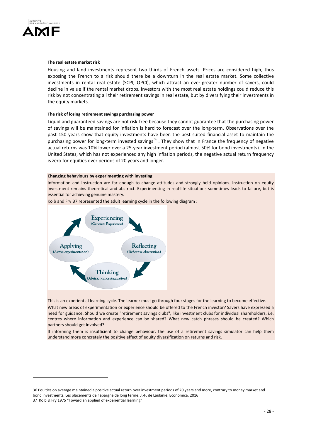

#### **The real estate market risk**

Housing and land investments represent two thirds of French assets. Prices are considered high, thus exposing the French to a risk should there be a downturn in the real estate market. Some collective investments in rental real estate (SCPI, OPCI), which attract an ever-greater number of savers, could decline in value if the rental market drops. Investors with the most real estate holdings could reduce this risk by not concentrating all their retirement savings in real estate, but by diversifying their investments in the equity markets.

#### **The risk of losing retirement savings purchasing power**

Liquid and guaranteed savings are not risk-free because they cannot guarantee that the purchasing power of savings will be maintained for inflation is hard to forecast over the long-term. Observations over the past 150 years show that equity investments have been the best suited financial asset to maintain the purchasing power for long-term invested savings<sup>[36](#page-27-0)</sup>. They show that in France the frequency of negative actual returns was 10% lower over a 25-year investment period (almost 50% for bond investments). In the United States, which has not experienced any high inflation periods, the negative actual return frequency is zero for equities over periods of 20 years and longer.

### **Changing behaviours by experimenting with investing**

Information and instruction are far enough to change attitudes and strongly held opinions. Instruction on equity investment remains theoretical and abstract. Experimenting in real-life situations sometimes leads to failure, but is essential for achieving genuine mastery.

Kolb and Fry [37](#page-27-1) represented the adult learning cycle in the following diagram :



This is an experiential learning cycle. The learner must go through four stages for the learning to become effective.

What new areas of experimentation or experience should be offered to the French investor? Savers have expressed a need for guidance. Should we create "retirement savings clubs", like investment clubs for individual shareholders, i.e. centres where information and experience can be shared? What new catch phrases should be created? Which partners should get involved?

If informing them is insufficient to change behaviour, the use of a retirement savings simulator can help them understand more concretely the positive effect of equity diversification on returns and risk.

<span id="page-27-1"></span><span id="page-27-0"></span><sup>36</sup> Equities on average maintained a positive actual return over investment periods of 20 years and more, contrary to money market and bond investments. Les placements de l'épargne de long terme, J.-F. de Laulanié, Economica, 2016 37 Kolb & Fry 1975 "Toward an applied of experiential learning"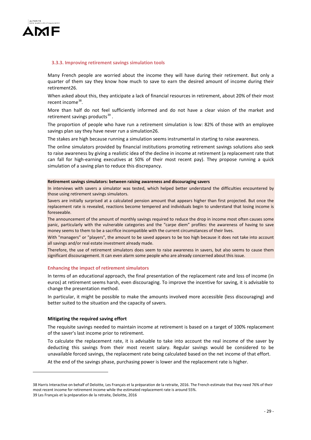

### **3.3.3. Improving retirement savings simulation tools**

Many French people are worried about the income they will have during their retirement. But only a quarter of them say they know how much to save to earn the desired amount of income during their retirement26.

When asked about this, they anticipate a lack of financial resources in retirement, about 20% of their most recent income<sup>[38](#page-28-0)</sup>.

More than half do not feel sufficiently informed and do not have a clear vision of the market and retirement savings products<sup>[39](#page-28-1)</sup>.

The proportion of people who have run a retirement simulation is low: 82% of those with an employee savings plan say they have never run a simulation26.

The stakes are high because running a simulation seems instrumental in starting to raise awareness.

The online simulators provided by financial institutions promoting retirement savings solutions also seek to raise awareness by giving a realistic idea of the decline in income at retirement (a replacement rate that can fall for high-earning executives at 50% of their most recent pay). They propose running a quick simulation of a saving plan to reduce this discrepancy.

#### **Retirement savings simulators: between raising awareness and discouraging savers**

In interviews with savers a simulator was tested, which helped better understand the difficulties encountered by those using retirement savings simulators.

Savers are initially surprised at a calculated pension amount that appears higher than first projected. But once the replacement rate is revealed, reactions become tempered and individuals begin to understand that losing income is foreseeable.

The announcement of the amount of monthly savings required to reduce the drop in income most often causes some panic, particularly with the vulnerable categories and the "carpe diem" profiles: the awareness of having to save money seems to them to be a sacrifice incompatible with the current circumstances of their lives.

With "managers" or "players", the amount to be saved appears to be too high because it does not take into account all savings and/or real estate investment already made.

Therefore, the use of retirement simulators does seem to raise awareness in savers, but also seems to cause them significant discouragement. It can even alarm some people who are already concerned about this issue.

#### **Enhancing the impact of retirement simulators**

In terms of an educational approach, the final presentation of the replacement rate and loss of income (in euros) at retirement seems harsh, even discouraging. To improve the incentive for saving, it is advisable to change the presentation method.

In particular, it might be possible to make the amounts involved more accessible (less discouraging) and better suited to the situation and the capacity of savers.

### **Mitigating the required saving effort**

<u>.</u>

The requisite savings needed to maintain income at retirement is based on a target of 100% replacement of the saver's last income prior to retirement.

To calculate the replacement rate, it is advisable to take into account the real income of the saver by deducting this savings from their most recent salary. Regular savings would be considered to be unavailable forced savings, the replacement rate being calculated based on the net income of that effort.

At the end of the savings phase, purchasing power is lower and the replacement rate is higher.

<span id="page-28-1"></span><span id="page-28-0"></span><sup>38</sup> Harris Interactive on behalf of Deloitte, Les Français et la préparation de la retraite, 2016. The French estimate that they need 76% of their most recent income for retirement income while the estimated replacement rate is around 55%. 39 Les Français et la préparation de la retraite, Deloitte, 2016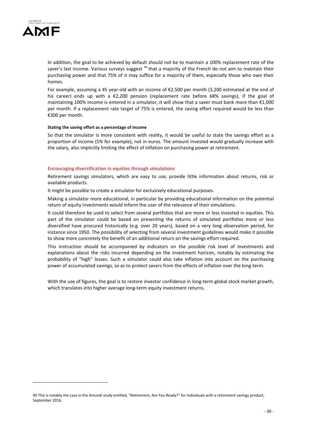

In addition, the goal to be achieved by default should not be to maintain a 100% replacement rate of the saver's last income. Various surveys suggest <sup>[40](#page-29-0)</sup> that a majority of the French do not aim to maintain their purchasing power and that 75% of it may suffice for a majority of them, especially those who own their homes.

For example, assuming a 45 year-old with an income of €2,500 per month (3,200 estimated at the end of his career) ends up with a €2,200 pension (replacement rate before 68% savings), if the goal of maintaining 100% income is entered in a simulator, it will show that a saver must bank more than €1,000 per month. If a replacement rate target of 75% is entered, the saving effort required would be less than €300 per month.

### **Stating the saving effort as a percentage of income**

So that the simulator is more consistent with reality, it would be useful to state the savings effort as a proportion of income (5% for example), not in euros. The amount invested would gradually increase with the salary, also implicitly limiting the effect of inflation on purchasing power at retirement.

# **Encouraging diversification in equities through simulations**

Retirement savings simulators, which are easy to use, provide little information about returns, risk or available products.

It might be possible to create a simulator for exclusively educational purposes.

Making a simulator more educational, in particular by providing educational information on the potential return of equity investments would inform the user of the relevance of their simulations.

It could therefore be used to select from several portfolios that are more or less invested in equities. This part of the simulator could be based on presenting the returns of simulated portfolios more or less diversified have procured historically (e.g. over 20 years), based on a very long observation period, for instance since 1950. The possibility of selecting from several investment guidelines would make it possible to show more concretely the benefit of an additional return on the savings effort required.

This instruction should be accompanied by indicators on the possible risk level of investments and explanations about the risks incurred depending on the investment horizon, notably by estimating the probability of "high" losses. Such a simulator could also take inflation into account on the purchasing power of accumulated savings, so as to protect savers from the effects of inflation over the long-term.

With the use of figures, the goal is to restore investor confidence in long-term global stock market growth, which translates into higher average long-term equity investment returns.

<span id="page-29-0"></span><sup>40</sup> This is notably the case in the Amundi study entitled, "Retirement, Are You Ready?" for individuals with a retirement savings product, September 2016.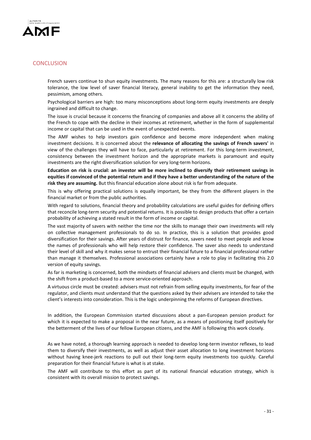

# **CONCLUSION**

French savers continue to shun equity investments. The many reasons for this are: a structurally low risk tolerance, the low level of saver financial literacy, general inability to get the information they need, pessimism, among others.

Psychological barriers are high: too many misconceptions about long-term equity investments are deeply ingrained and difficult to change.

The issue is crucial because it concerns the financing of companies and above all it concerns the ability of the French to cope with the decline in their incomes at retirement, whether in the form of supplemental income or capital that can be used in the event of unexpected events.

The AMF wishes to help investors gain confidence and become more independent when making investment decisions. It is concerned about the **relevance of allocating the savings of French savers'** in view of the challenges they will have to face, particularly at retirement. For this long-term investment, consistency between the investment horizon and the appropriate markets is paramount and equity investments are the right diversification solution for very long-term horizons.

**Education on risk is crucial: an investor will be more inclined to diversify their retirement savings in equities if convinced of the potential return and if they have a better understanding of the nature of the risk they are assuming.** But this financial education alone about risk is far from adequate.

This is why offering practical solutions is equally important, be they from the different players in the financial market or from the public authorities.

With regard to solutions, financial theory and probability calculations are useful guides for defining offers that reconcile long-term security and potential returns. It is possible to design products that offer a certain probability of achieving a stated result in the form of income or capital.

The vast majority of savers with neither the time nor the skills to manage their own investments will rely on collective management professionals to do so. In practice, this is a solution that provides good diversification for their savings. After years of distrust for finance, savers need to meet people and know the names of professionals who will help restore their confidence. The saver also needs to understand their level of skill and why it makes sense to entrust their financial future to a financial professional rather than manage it themselves. Professional associations certainly have a role to play in facilitating this 2.0 version of equity savings.

As far is marketing is concerned, both the mindsets of financial advisers and clients must be changed, with the shift from a product-based to a more service-oriented approach.

A virtuous circle must be created: advisers must not refrain from selling equity investments, for fear of the regulator, and clients must understand that the questions asked by their advisers are intended to take the client's interests into consideration. This is the logic underpinning the reforms of European directives.

In addition, the European Commission started discussions about a pan-European pension product for which it is expected to make a proposal in the near future, as a means of positioning itself positively for the betterment of the lives of our fellow European citizens, and the AMF is following this work closely.

As we have noted, a thorough learning approach is needed to develop long-term investor reflexes, to lead them to diversify their investments, as well as adjust their asset allocation to long investment horizons without having knee-jerk reactions to pull out their long-term equity investments too quickly. Careful preparation for their financial future is what is at stake.

The AMF will contribute to this effort as part of its national financial education strategy, which is consistent with its overall mission to protect savings.